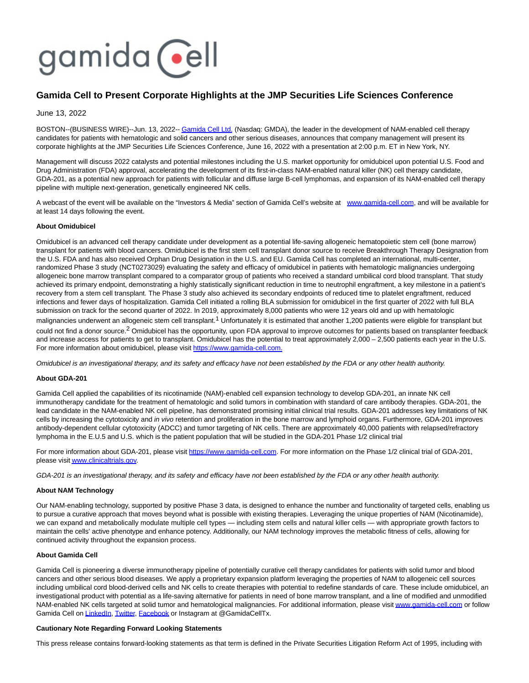# gamida cell

# **Gamida Cell to Present Corporate Highlights at the JMP Securities Life Sciences Conference**

## June 13, 2022

BOSTON--(BUSINESS WIRE)--Jun. 13, 2022-[- Gamida Cell Ltd. \(](https://cts.businesswire.com/ct/CT?id=smartlink&url=http%3A%2F%2Fwww.gamida-cell.com%2F&esheet=52747349&newsitemid=20220613005273&lan=en-US&anchor=Gamida+Cell+Ltd.&index=1&md5=16b339f51e0271e1a11cd0c8cf3cc16a)Nasdaq: GMDA), the leader in the development of NAM-enabled cell therapy candidates for patients with hematologic and solid cancers and other serious diseases, announces that company management will present its corporate highlights at the JMP Securities Life Sciences Conference, June 16, 2022 with a presentation at 2:00 p.m. ET in New York, NY.

Management will discuss 2022 catalysts and potential milestones including the U.S. market opportunity for omidubicel upon potential U.S. Food and Drug Administration (FDA) approval, accelerating the development of its first-in-class NAM-enabled natural killer (NK) cell therapy candidate, GDA-201, as a potential new approach for patients with follicular and diffuse large B-cell lymphomas, and expansion of its NAM-enabled cell therapy pipeline with multiple next-generation, genetically engineered NK cells.

A webcast of the event will be available on the "Investors & Media" section of Gamida Cell's website at [www.gamida-cell.com,](https://cts.businesswire.com/ct/CT?id=smartlink&url=http%3A%2F%2Fwww.gamida-cell.com&esheet=52747349&newsitemid=20220613005273&lan=en-US&anchor=www.gamida-cell.com&index=2&md5=9d068854bf5b99a4ef5436cf0e13747f) and will be available for at least 14 days following the event.

## **About Omidubicel**

Omidubicel is an advanced cell therapy candidate under development as a potential life-saving allogeneic hematopoietic stem cell (bone marrow) transplant for patients with blood cancers. Omidubicel is the first stem cell transplant donor source to receive Breakthrough Therapy Designation from the U.S. FDA and has also received Orphan Drug Designation in the U.S. and EU. Gamida Cell has completed an international, multi-center, randomized Phase 3 study (NCT0273029) evaluating the safety and efficacy of omidubicel in patients with hematologic malignancies undergoing allogeneic bone marrow transplant compared to a comparator group of patients who received a standard umbilical cord blood transplant. That study achieved its primary endpoint, demonstrating a highly statistically significant reduction in time to neutrophil engraftment, a key milestone in a patient's recovery from a stem cell transplant. The Phase 3 study also achieved its secondary endpoints of reduced time to platelet engraftment, reduced infections and fewer days of hospitalization. Gamida Cell initiated a rolling BLA submission for omidubicel in the first quarter of 2022 with full BLA submission on track for the second quarter of 2022. In 2019, approximately 8,000 patients who were 12 years old and up with hematologic malignancies underwent an allogeneic stem cell transplant.<sup>1</sup> Unfortunately it is estimated that another 1,200 patients were eligible for transplant but could not find a donor source.<sup>2</sup> Omidubicel has the opportunity, upon FDA approval to improve outcomes for patients based on transplanter feedback and increase access for patients to get to transplant. Omidubicel has the potential to treat approximately 2,000 – 2,500 patients each year in the U.S. For more information about omidubicel, please visit [https://www.gamida-cell.com.](https://cts.businesswire.com/ct/CT?id=smartlink&url=https%3A%2F%2Fwww.gamida-cell.com%2F&esheet=52747349&newsitemid=20220613005273&lan=en-US&anchor=https%3A%2F%2Fwww.gamida-cell.com.&index=3&md5=5c41e67bca9543b59ce73196f078d06c)

Omidubicel is an investigational therapy, and its safety and efficacy have not been established by the FDA or any other health authority.

#### **About GDA-201**

Gamida Cell applied the capabilities of its nicotinamide (NAM)-enabled cell expansion technology to develop GDA-201, an innate NK cell immunotherapy candidate for the treatment of hematologic and solid tumors in combination with standard of care antibody therapies. GDA-201, the lead candidate in the NAM-enabled NK cell pipeline, has demonstrated promising initial clinical trial results. GDA-201 addresses key limitations of NK cells by increasing the cytotoxicity and *in vivo* retention and proliferation in the bone marrow and lymphoid organs. Furthermore, GDA-201 improves antibody-dependent cellular cytotoxicity (ADCC) and tumor targeting of NK cells. There are approximately 40,000 patients with relapsed/refractory lymphoma in the E.U.5 and U.S. which is the patient population that will be studied in the GDA-201 Phase 1/2 clinical trial

For more information about GDA-201, please visit [https://www.gamida-cell.com.](https://cts.businesswire.com/ct/CT?id=smartlink&url=https%3A%2F%2Fwww.gamida-cell.com%2F&esheet=52747349&newsitemid=20220613005273&lan=en-US&anchor=https%3A%2F%2Fwww.gamida-cell.com&index=4&md5=020597182f2ce72430418bfa254ff249) For more information on the Phase 1/2 clinical trial of GDA-201, please visi[t www.clinicaltrials.gov.](https://cts.businesswire.com/ct/CT?id=smartlink&url=https%3A%2F%2Fwww.clinicaltrials.gov%2F&esheet=52747349&newsitemid=20220613005273&lan=en-US&anchor=www.clinicaltrials.gov&index=5&md5=7940068ccfb1cd3d137908f7ab9cb708)

GDA-201 is an investigational therapy, and its safety and efficacy have not been established by the FDA or any other health authority.

#### **About NAM Technology**

Our NAM-enabling technology, supported by positive Phase 3 data, is designed to enhance the number and functionality of targeted cells, enabling us to pursue a curative approach that moves beyond what is possible with existing therapies. Leveraging the unique properties of NAM (Nicotinamide), we can expand and metabolically modulate multiple cell types — including stem cells and natural killer cells — with appropriate growth factors to maintain the cells' active phenotype and enhance potency. Additionally, our NAM technology improves the metabolic fitness of cells, allowing for continued activity throughout the expansion process.

#### **About Gamida Cell**

Gamida Cell is pioneering a diverse immunotherapy pipeline of potentially curative cell therapy candidates for patients with solid tumor and blood cancers and other serious blood diseases. We apply a proprietary expansion platform leveraging the properties of NAM to allogeneic cell sources including umbilical cord blood-derived cells and NK cells to create therapies with potential to redefine standards of care. These include omidubicel, an investigational product with potential as a life-saving alternative for patients in need of bone marrow transplant, and a line of modified and unmodified NAM-enabled NK cells targeted at solid tumor and hematological malignancies. For additional information, please visi[t www.gamida-cell.com o](https://cts.businesswire.com/ct/CT?id=smartlink&url=http%3A%2F%2Fwww.gamida-cell.com%2F&esheet=52747349&newsitemid=20220613005273&lan=en-US&anchor=www.gamida-cell.com&index=6&md5=a1a15132b982e041dfa3483efbbc7135)r follow Gamida Cell on [LinkedIn,](https://cts.businesswire.com/ct/CT?id=smartlink&url=https%3A%2F%2Fwww.linkedin.com%2Fcompany%2Fgamida-cell-ltd-%2F&esheet=52747349&newsitemid=20220613005273&lan=en-US&anchor=LinkedIn&index=7&md5=b6dbc2b57c139195b0a26c58b214eaf9) [Twitter,](https://cts.businesswire.com/ct/CT?id=smartlink&url=https%3A%2F%2Ftwitter.com%2FGamidaCellTx&esheet=52747349&newsitemid=20220613005273&lan=en-US&anchor=Twitter&index=8&md5=4c083506cb6605c9e4e383891cf6a38d) [Facebook o](https://cts.businesswire.com/ct/CT?id=smartlink&url=https%3A%2F%2Fwww.facebook.com%2FGamidaCellLtd&esheet=52747349&newsitemid=20220613005273&lan=en-US&anchor=Facebook&index=9&md5=441ec6d237cd2b96f9beaecbd8da3733)r Instagram at @GamidaCellTx.

#### **Cautionary Note Regarding Forward Looking Statements**

This press release contains forward-looking statements as that term is defined in the Private Securities Litigation Reform Act of 1995, including with